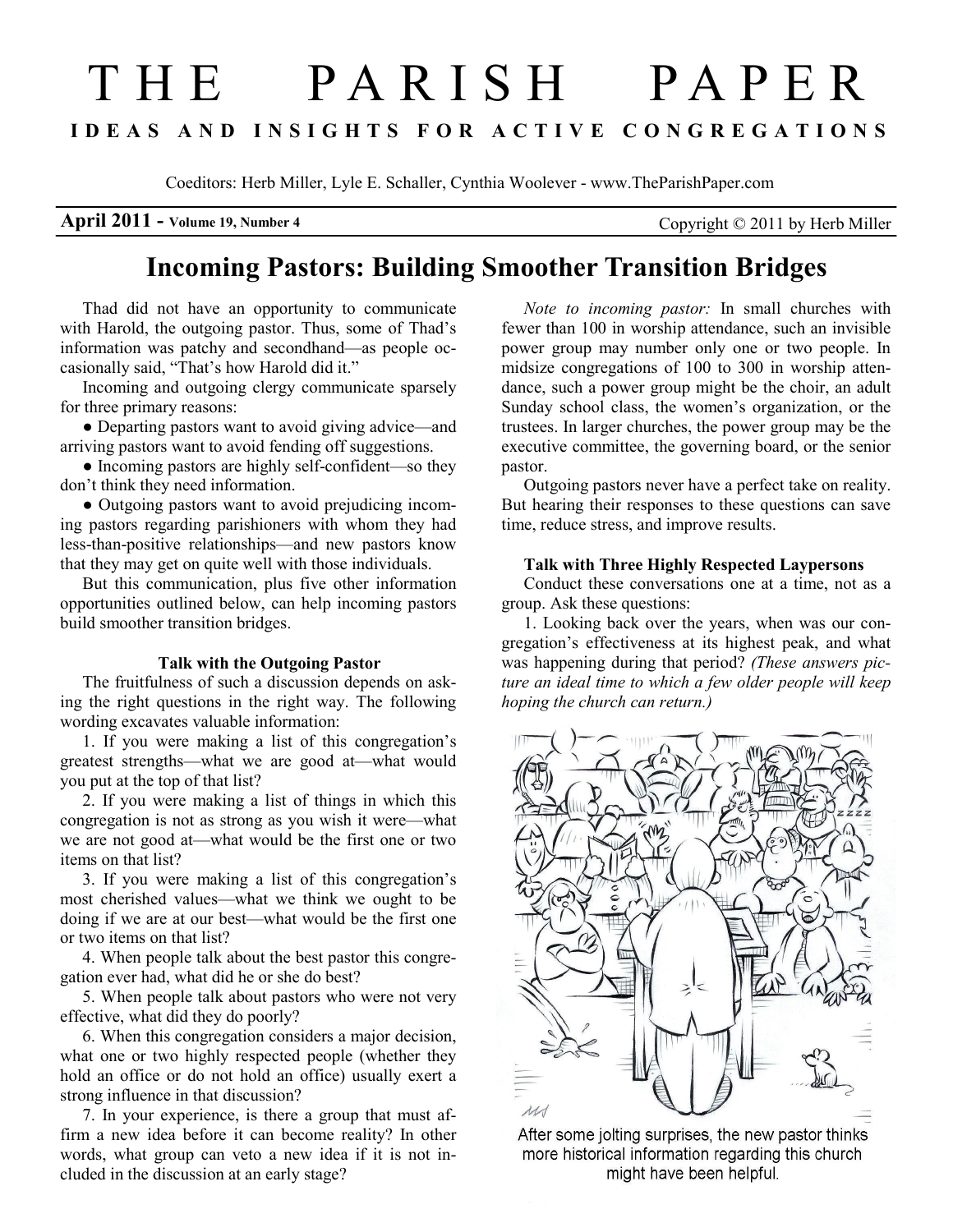# T H E P A R I S H P A P E R I D E A S A N D I N S I G H T S F O R A C T I V E C O N G R E G A T I O N S

Coeditors: Herb Miller, Lyle E. Schaller, Cynthia Woolever - www.TheParishPaper.com

**April 2011 - Volume 19, Number 4** Copyright  $\odot$  2011 by Herb Miller

# Incoming Pastors: Building Smoother Transition Bridges

Thad did not have an opportunity to communicate with Harold, the outgoing pastor. Thus, some of Thad's information was patchy and secondhand—as people occasionally said, "That's how Harold did it."

Incoming and outgoing clergy communicate sparsely for three primary reasons:

● Departing pastors want to avoid giving advice—and arriving pastors want to avoid fending off suggestions.

• Incoming pastors are highly self-confident—so they don't think they need information.

● Outgoing pastors want to avoid prejudicing incoming pastors regarding parishioners with whom they had less-than-positive relationships—and new pastors know that they may get on quite well with those individuals.

But this communication, plus five other information opportunities outlined below, can help incoming pastors build smoother transition bridges.

### Talk with the Outgoing Pastor

The fruitfulness of such a discussion depends on asking the right questions in the right way. The following wording excavates valuable information:

1. If you were making a list of this congregation's greatest strengths—what we are good at—what would you put at the top of that list?

2. If you were making a list of things in which this congregation is not as strong as you wish it were—what we are not good at—what would be the first one or two items on that list?

3. If you were making a list of this congregation's most cherished values—what we think we ought to be doing if we are at our best—what would be the first one or two items on that list?

4. When people talk about the best pastor this congregation ever had, what did he or she do best?

5. When people talk about pastors who were not very effective, what did they do poorly?

6. When this congregation considers a major decision, what one or two highly respected people (whether they hold an office or do not hold an office) usually exert a strong influence in that discussion?

7. In your experience, is there a group that must affirm a new idea before it can become reality? In other words, what group can veto a new idea if it is not included in the discussion at an early stage?

Note to incoming pastor: In small churches with fewer than 100 in worship attendance, such an invisible power group may number only one or two people. In midsize congregations of 100 to 300 in worship attendance, such a power group might be the choir, an adult Sunday school class, the women's organization, or the trustees. In larger churches, the power group may be the executive committee, the governing board, or the senior pastor.

Outgoing pastors never have a perfect take on reality. But hearing their responses to these questions can save time, reduce stress, and improve results.

## Talk with Three Highly Respected Laypersons

Conduct these conversations one at a time, not as a group. Ask these questions:

1. Looking back over the years, when was our congregation's effectiveness at its highest peak, and what was happening during that period? (These answers picture an ideal time to which a few older people will keep hoping the church can return.)



After some jolting surprises, the new pastor thinks more historical information regarding this church might have been helpful.